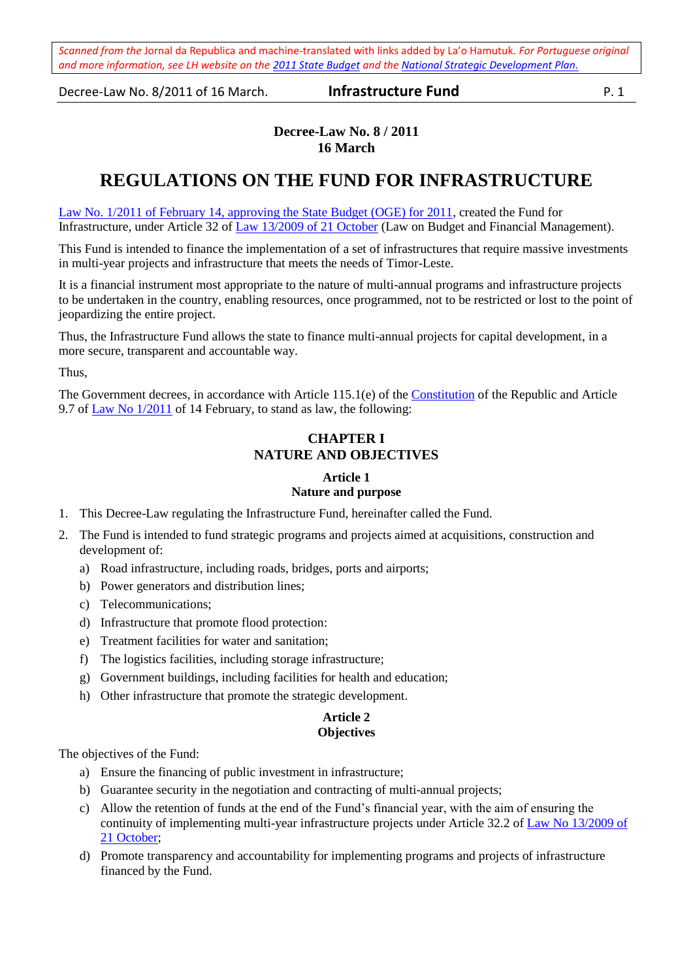Decree-Law No. 8/2011 of 16 March. **Infrastructure Fund** P. 1

## **Decree-Law No. 8 / 2011 16 March**

# **REGULATIONS ON THE FUND FOR INFRASTRUCTURE**

Law No. [1/2011 of February 14, approving the State Budget \(OGE\) for 2011,](http://www.laohamutuk.org/econ/OGE11/Book1OGE2011finalEn.pdf) created the Fund for Infrastructure, under Article 32 of [Law 13/2009 of 21 October](http://www.laohamutuk.org/econ/debt/LeiOrsJesFin13_2009En.pdf) (Law on Budget and Financial Management).

This Fund is intended to finance the implementation of a set of infrastructures that require massive investments in multi-year projects and infrastructure that meets the needs of Timor-Leste.

It is a financial instrument most appropriate to the nature of multi-annual programs and infrastructure projects to be undertaken in the country, enabling resources, once programmed, not to be restricted or lost to the point of jeopardizing the entire project.

Thus, the Infrastructure Fund allows the state to finance multi-annual projects for capital development, in a more secure, transparent and accountable way.

Thus,

The Government decrees, in accordance with Article 115.1(e) of the [Constitution](http://www.laohamutuk.org/Justice/ConstitutionEng.pdf) of the Republic and Article 9.7 of <u>Law No 1/2011</u> of 14 February, to stand as law, the following:

## **CHAPTER I NATURE AND OBJECTIVES**

## **Article 1**

## **Nature and purpose**

- 1. This Decree-Law regulating the Infrastructure Fund, hereinafter called the Fund.
- 2. The Fund is intended to fund strategic programs and projects aimed at acquisitions, construction and development of:
	- a) Road infrastructure, including roads, bridges, ports and airports;
	- b) Power generators and distribution lines;
	- c) Telecommunications;
	- d) Infrastructure that promote flood protection:
	- e) Treatment facilities for water and sanitation;
	- f) The logistics facilities, including storage infrastructure;
	- g) Government buildings, including facilities for health and education;
	- h) Other infrastructure that promote the strategic development.

#### **Article 2 Objectives**

The objectives of the Fund:

- a) Ensure the financing of public investment in infrastructure;
- b) Guarantee security in the negotiation and contracting of multi-annual projects;
- c) Allow the retention of funds at the end of the Fund's financial year, with the aim of ensuring the continuity of implementing multi-year infrastructure projects under Article 32.2 o[f Law No 13/2009 of](http://www.laohamutuk.org/econ/debt/LeiOrsJesFin13_2009En.pdf)  [21 October;](http://www.laohamutuk.org/econ/debt/LeiOrsJesFin13_2009En.pdf)
- d) Promote transparency and accountability for implementing programs and projects of infrastructure financed by the Fund.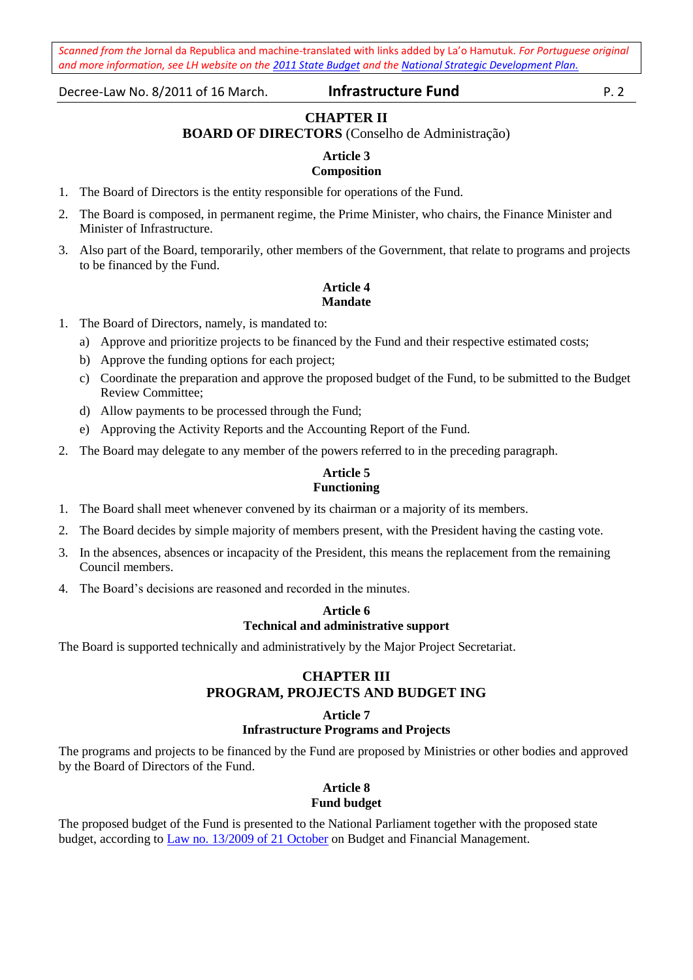Decree-Law No. 8/2011 of 16 March. **Infrastructure Fund** P. 2

## **CHAPTER II**

## **BOARD OF DIRECTORS** (Conselho de Administração)

#### **Article 3**

## **Composition**

- 1. The Board of Directors is the entity responsible for operations of the Fund.
- 2. The Board is composed, in permanent regime, the Prime Minister, who chairs, the Finance Minister and Minister of Infrastructure.
- 3. Also part of the Board, temporarily, other members of the Government, that relate to programs and projects to be financed by the Fund.

## **Article 4 Mandate**

- 1. The Board of Directors, namely, is mandated to:
	- a) Approve and prioritize projects to be financed by the Fund and their respective estimated costs;
	- b) Approve the funding options for each project;
	- c) Coordinate the preparation and approve the proposed budget of the Fund, to be submitted to the Budget Review Committee;
	- d) Allow payments to be processed through the Fund;
	- e) Approving the Activity Reports and the Accounting Report of the Fund.
- 2. The Board may delegate to any member of the powers referred to in the preceding paragraph.

### **Article 5 Functioning**

- 1. The Board shall meet whenever convened by its chairman or a majority of its members.
- 2. The Board decides by simple majority of members present, with the President having the casting vote.
- 3. In the absences, absences or incapacity of the President, this means the replacement from the remaining Council members.
- 4. The Board's decisions are reasoned and recorded in the minutes.

## **Article 6 Technical and administrative support**

The Board is supported technically and administratively by the Major Project Secretariat.

## **CHAPTER III PROGRAM, PROJECTS AND BUDGET ING**

## **Article 7**

### **Infrastructure Programs and Projects**

The programs and projects to be financed by the Fund are proposed by Ministries or other bodies and approved by the Board of Directors of the Fund.

#### **Article 8 Fund budget**

The proposed budget of the Fund is presented to the National Parliament together with the proposed state budget, according to [Law no. 13/2009 of 21 October](http://www.laohamutuk.org/econ/debt/LeiOrsJesFin13_2009En.pdf) on Budget and Financial Management.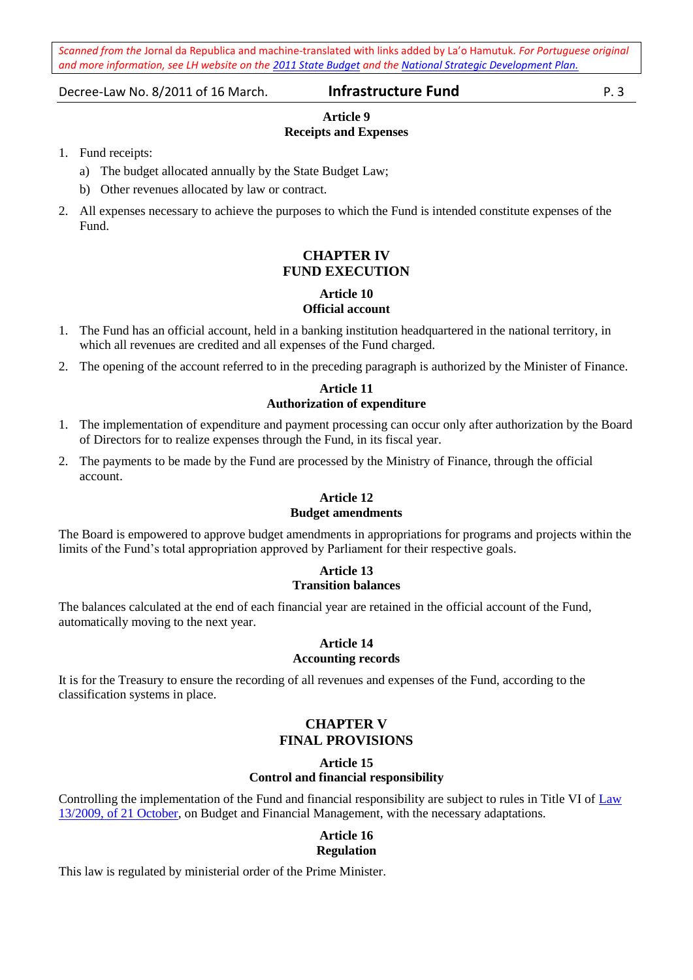Decree-Law No. 8/2011 of 16 March. **Infrastructure Fund** P. 3

## **Article 9 Receipts and Expenses**

- 1. Fund receipts:
	- a) The budget allocated annually by the State Budget Law;
	- b) Other revenues allocated by law or contract.
- 2. All expenses necessary to achieve the purposes to which the Fund is intended constitute expenses of the Fund.

## **CHAPTER IV FUND EXECUTION**

# **Article 10**

## **Official account**

- 1. The Fund has an official account, held in a banking institution headquartered in the national territory, in which all revenues are credited and all expenses of the Fund charged.
- 2. The opening of the account referred to in the preceding paragraph is authorized by the Minister of Finance.

## **Article 11 Authorization of expenditure**

- 1. The implementation of expenditure and payment processing can occur only after authorization by the Board of Directors for to realize expenses through the Fund, in its fiscal year.
- 2. The payments to be made by the Fund are processed by the Ministry of Finance, through the official account.

## **Article 12 Budget amendments**

The Board is empowered to approve budget amendments in appropriations for programs and projects within the limits of the Fund's total appropriation approved by Parliament for their respective goals.

## **Article 13 Transition balances**

The balances calculated at the end of each financial year are retained in the official account of the Fund, automatically moving to the next year.

#### **Article 14 Accounting records**

It is for the Treasury to ensure the recording of all revenues and expenses of the Fund, according to the classification systems in place.

## **CHAPTER V FINAL PROVISIONS**

## **Article 15**

## **Control and financial responsibility**

Controlling the implementation of the Fund and financial responsibility are subject to rules in Title VI of [Law](http://www.laohamutuk.org/econ/debt/LeiOrsJesFin13_2009En.pdf)  13/2009, [of 21 October,](http://www.laohamutuk.org/econ/debt/LeiOrsJesFin13_2009En.pdf) on Budget and Financial Management, with the necessary adaptations.

## **Article 16 Regulation**

This law is regulated by ministerial order of the Prime Minister.